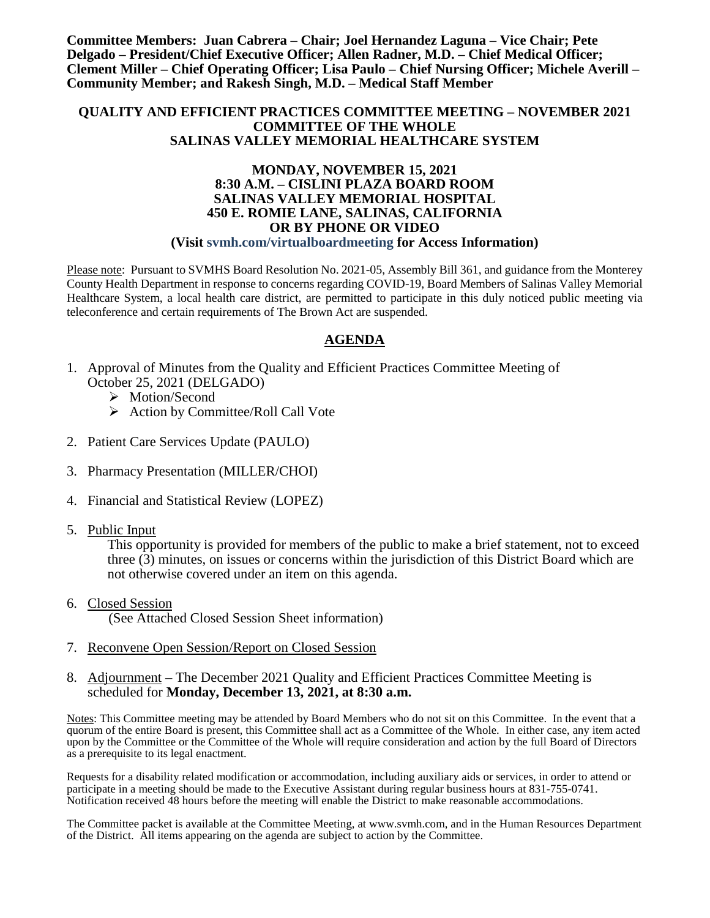**Committee Members: Juan Cabrera – Chair; Joel Hernandez Laguna – Vice Chair; Pete Delgado – President/Chief Executive Officer; Allen Radner, M.D. – Chief Medical Officer; Clement Miller – Chief Operating Officer; Lisa Paulo – Chief Nursing Officer; Michele Averill – Community Member; and Rakesh Singh, M.D. – Medical Staff Member**

#### **QUALITY AND EFFICIENT PRACTICES COMMITTEE MEETING – NOVEMBER 2021 COMMITTEE OF THE WHOLE SALINAS VALLEY MEMORIAL HEALTHCARE SYSTEM**

#### **MONDAY, NOVEMBER 15, 2021 8:30 A.M. – CISLINI PLAZA BOARD ROOM SALINAS VALLEY MEMORIAL HOSPITAL 450 E. ROMIE LANE, SALINAS, CALIFORNIA OR BY PHONE OR VIDEO (Visit svmh.com/virtualboardmeeting for Access Information)**

Please note: Pursuant to SVMHS Board Resolution No. 2021-05, Assembly Bill 361, and guidance from the Monterey County Health Department in response to concerns regarding COVID-19, Board Members of Salinas Valley Memorial Healthcare System, a local health care district, are permitted to participate in this duly noticed public meeting via teleconference and certain requirements of The Brown Act are suspended.

#### **AGENDA**

- 1. Approval of Minutes from the Quality and Efficient Practices Committee Meeting of October 25, 2021 (DELGADO)
	- > Motion/Second
	- $\triangleright$  Action by Committee/Roll Call Vote
- 2. Patient Care Services Update (PAULO)
- 3. Pharmacy Presentation (MILLER/CHOI)
- 4. Financial and Statistical Review (LOPEZ)
- 5. Public Input

This opportunity is provided for members of the public to make a brief statement, not to exceed three (3) minutes, on issues or concerns within the jurisdiction of this District Board which are not otherwise covered under an item on this agenda.

- 6. Closed Session (See Attached Closed Session Sheet information)
- 7. Reconvene Open Session/Report on Closed Session
- 8. Adjournment The December 2021 Quality and Efficient Practices Committee Meeting is scheduled for **Monday, December 13, 2021, at 8:30 a.m.**

Notes: This Committee meeting may be attended by Board Members who do not sit on this Committee. In the event that a quorum of the entire Board is present, this Committee shall act as a Committee of the Whole. In either case, any item acted upon by the Committee or the Committee of the Whole will require consideration and action by the full Board of Directors as a prerequisite to its legal enactment.

Requests for a disability related modification or accommodation, including auxiliary aids or services, in order to attend or participate in a meeting should be made to the Executive Assistant during regular business hours at 831-755-0741. Notification received 48 hours before the meeting will enable the District to make reasonable accommodations.

The Committee packet is available at the Committee Meeting, at www.svmh.com, and in the Human Resources Department of the District. All items appearing on the agenda are subject to action by the Committee.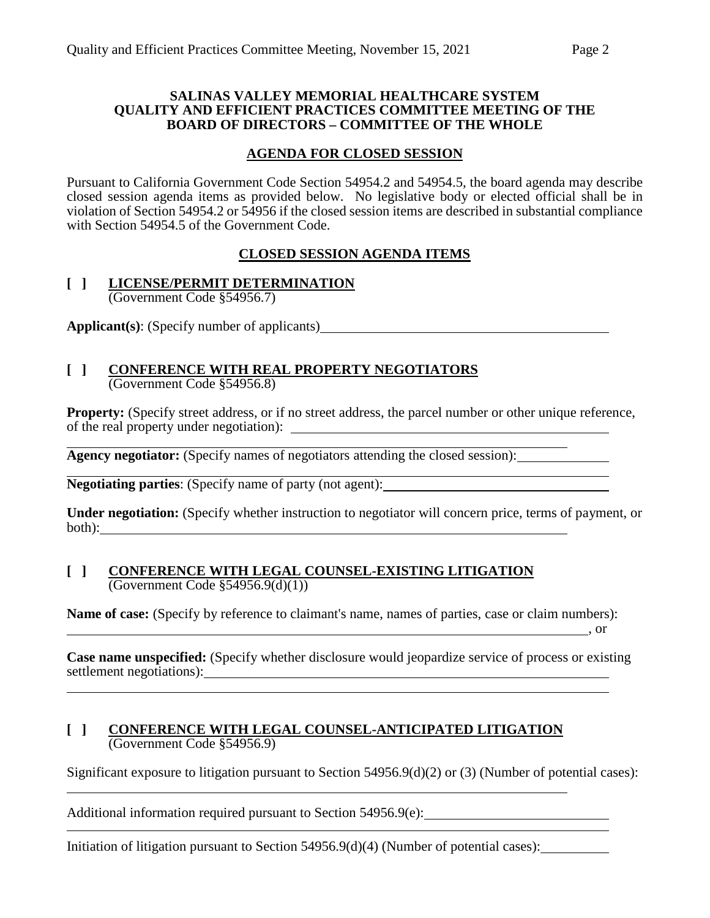#### **SALINAS VALLEY MEMORIAL HEALTHCARE SYSTEM QUALITY AND EFFICIENT PRACTICES COMMITTEE MEETING OF THE BOARD OF DIRECTORS – COMMITTEE OF THE WHOLE**

### **AGENDA FOR CLOSED SESSION**

Pursuant to California Government Code Section 54954.2 and 54954.5, the board agenda may describe closed session agenda items as provided below. No legislative body or elected official shall be in violation of Section 54954.2 or 54956 if the closed session items are described in substantial compliance with Section 54954.5 of the Government Code.

## **CLOSED SESSION AGENDA ITEMS**

#### **[ ] LICENSE/PERMIT DETERMINATION** (Government Code §54956.7)

**Applicant(s)**: (Specify number of applicants)

#### **[ ] CONFERENCE WITH REAL PROPERTY NEGOTIATORS** (Government Code §54956.8)

**Property:** (Specify street address, or if no street address, the parcel number or other unique reference, of the real property under negotiation):

**Agency negotiator:** (Specify names of negotiators attending the closed session):

**Negotiating parties**: (Specify name of party (not agent):

**Under negotiation:** (Specify whether instruction to negotiator will concern price, terms of payment, or both):

#### **[ ] CONFERENCE WITH LEGAL COUNSEL-EXISTING LITIGATION**  $\overline{(Government Code \$  54956.9(d)(1))}

**Name of case:** (Specify by reference to claimant's name, names of parties, case or claim numbers): ,  $\overline{\phantom{a}}$  , or

**Case name unspecified:** (Specify whether disclosure would jeopardize service of process or existing settlement negotiations):

#### **[ ] CONFERENCE WITH LEGAL COUNSEL-ANTICIPATED LITIGATION** (Government Code §54956.9)

Significant exposure to litigation pursuant to Section 54956.9(d)(2) or (3) (Number of potential cases):

Additional information required pursuant to Section 54956.9(e):

Initiation of litigation pursuant to Section 54956.9(d)(4) (Number of potential cases): \_\_\_\_\_\_\_\_\_\_\_\_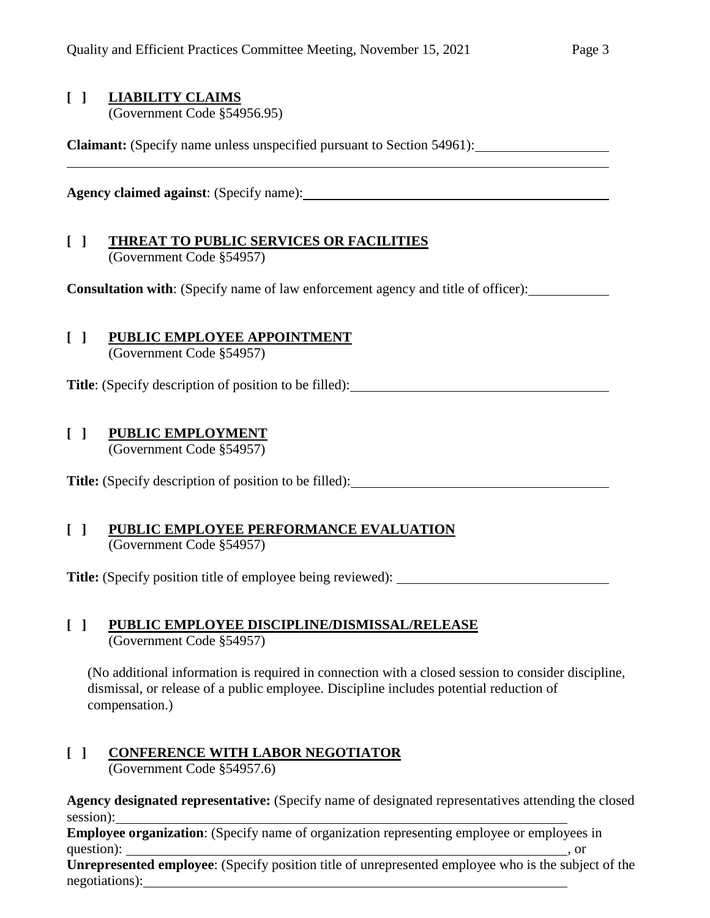## **[ ] LIABILITY CLAIMS**

(Government Code §54956.95)

**Claimant:** (Specify name unless unspecified pursuant to Section 54961):

**Agency claimed against**: (Specify name):

## **[ ] THREAT TO PUBLIC SERVICES OR FACILITIES** (Government Code §54957)

**Consultation with**: (Specify name of law enforcement agency and title of officer):

# **[ ] PUBLIC EMPLOYEE APPOINTMENT**

(Government Code §54957)

**Title**: (Specify description of position to be filled):

## **[ ] PUBLIC EMPLOYMENT**

(Government Code §54957)

**Title:** (Specify description of position to be filled):

#### **[ ] PUBLIC EMPLOYEE PERFORMANCE EVALUATION** (Government Code §54957)

**Title:** (Specify position title of employee being reviewed):

#### **[ ] PUBLIC EMPLOYEE DISCIPLINE/DISMISSAL/RELEASE** (Government Code §54957)

(No additional information is required in connection with a closed session to consider discipline, dismissal, or release of a public employee. Discipline includes potential reduction of compensation.)

## **[ ] CONFERENCE WITH LABOR NEGOTIATOR**

(Government Code §54957.6)

**Agency designated representative:** (Specify name of designated representatives attending the closed session):

**Employee organization**: (Specify name of organization representing employee or employees in question): , or

**Unrepresented employee**: (Specify position title of unrepresented employee who is the subject of the negotiations):